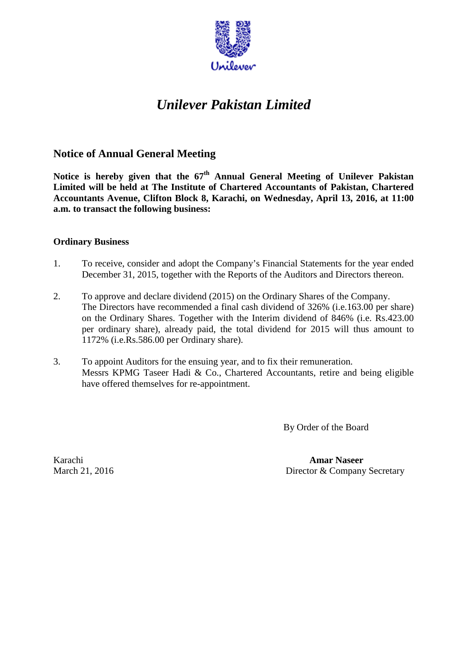

## *Unilever Pakistan Limited*

## **Notice of Annual General Meeting**

Notice is hereby given that the  $67<sup>th</sup>$  Annual General Meeting of Unilever Pakistan **Limited will be held at The Institute of Chartered Accountants of Pakistan, Chartered Accountants Avenue, Clifton Block 8, Karachi, on Wednesday, April 13, 2016, at 11:00 a.m. to transact the following business:**

## **Ordinary Business**

- 1. To receive, consider and adopt the Company's Financial Statements for the year ended December 31, 2015, together with the Reports of the Auditors and Directors thereon.
- 2. To approve and declare dividend (2015) on the Ordinary Shares of the Company. The Directors have recommended a final cash dividend of 326% (i.e.163.00 per share) on the Ordinary Shares. Together with the Interim dividend of 846% (i.e. Rs.423.00 per ordinary share), already paid, the total dividend for 2015 will thus amount to 1172% (i.e.Rs.586.00 per Ordinary share).
- 3. To appoint Auditors for the ensuing year, and to fix their remuneration. Messrs KPMG Taseer Hadi & Co., Chartered Accountants, retire and being eligible have offered themselves for re-appointment.

By Order of the Board

Karachi **Amar Naseer** March 21, 2016 Director & Company Secretary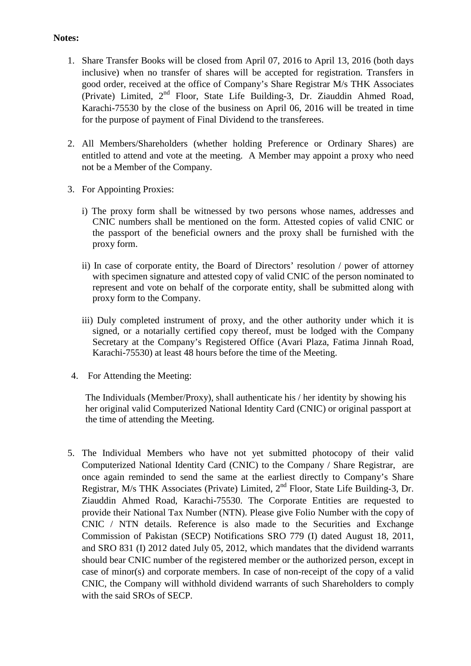## **Notes:**

- 1. Share Transfer Books will be closed from April 07, 2016 to April 13, 2016 (both days inclusive) when no transfer of shares will be accepted for registration. Transfers in good order, received at the office of Company's Share Registrar M/s THK Associates (Private) Limited, 2nd Floor, State Life Building-3, Dr. Ziauddin Ahmed Road, Karachi-75530 by the close of the business on April 06, 2016 will be treated in time for the purpose of payment of Final Dividend to the transferees.
- 2. All Members/Shareholders (whether holding Preference or Ordinary Shares) are entitled to attend and vote at the meeting. A Member may appoint a proxy who need not be a Member of the Company.
- 3. For Appointing Proxies:
	- i) The proxy form shall be witnessed by two persons whose names, addresses and CNIC numbers shall be mentioned on the form. Attested copies of valid CNIC or the passport of the beneficial owners and the proxy shall be furnished with the proxy form.
	- ii) In case of corporate entity, the Board of Directors' resolution / power of attorney with specimen signature and attested copy of valid CNIC of the person nominated to represent and vote on behalf of the corporate entity, shall be submitted along with proxy form to the Company.
	- iii) Duly completed instrument of proxy, and the other authority under which it is signed, or a notarially certified copy thereof, must be lodged with the Company Secretary at the Company's Registered Office (Avari Plaza, Fatima Jinnah Road, Karachi-75530) at least 48 hours before the time of the Meeting.
- 4. For Attending the Meeting:

The Individuals (Member/Proxy), shall authenticate his / her identity by showing his her original valid Computerized National Identity Card (CNIC) or original passport at the time of attending the Meeting.

5. The Individual Members who have not yet submitted photocopy of their valid Computerized National Identity Card (CNIC) to the Company / Share Registrar, are once again reminded to send the same at the earliest directly to Company's Share Registrar, M/s THK Associates (Private) Limited, 2nd Floor, State Life Building-3, Dr. Ziauddin Ahmed Road, Karachi-75530. The Corporate Entities are requested to provide their National Tax Number (NTN). Please give Folio Number with the copy of CNIC / NTN details. Reference is also made to the Securities and Exchange Commission of Pakistan (SECP) Notifications SRO 779 (I) dated August 18, 2011, and SRO 831 (I) 2012 dated July 05, 2012, which mandates that the dividend warrants should bear CNIC number of the registered member or the authorized person, except in case of minor(s) and corporate members. In case of non-receipt of the copy of a valid CNIC, the Company will withhold dividend warrants of such Shareholders to comply with the said SROs of SECP.